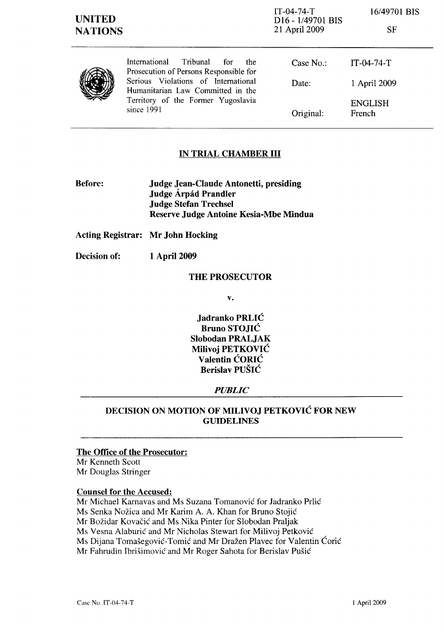IT-04-74-T D16 - 1/49701 BIS 21 April 2009

16/49701 BIS

|  | International Tribunal for<br>the<br>Prosecution of Persons Responsible for | Case $No.$ : | $IT-04-74-T$             |
|--|-----------------------------------------------------------------------------|--------------|--------------------------|
|  | Serious Violations of International<br>Humanitarian Law Committed in the    | Date:        | 1 April 2009             |
|  | Territory of the Former Yugoslavia<br>since 1991                            | Original:    | <b>ENGLISH</b><br>French |

# IN TRIAL CHAMBER III

Before: Judge Jean-Claude Antonetti, presiding Judge Árpád Prandler Judge Stefan Trechsel Reserve Judge Antoine Kesia-Mbe Mindua

Acting Registrar: Mr John Hocking

Decision of: 1 April 2009

## THE PROSECUTOR

v.

Jadranko PRLIC Bruno STOJIC Slobodan PRALJAK Milivoj PETKOVIC Valentin CORIC Berislav PUSIC

## *PUBLIC*

## DECISION ON MOTION OF MILIVOJ PETKOVIC FOR NEW **GUIDELINES**

## The Office of the Prosecutor:

Mr Kenneth Scott Mr Douglas Stringer

## Counsel for the Accused:

Mr Michael Kamavas and Ms Suzana Tomanovic for ladranko Prlic Ms Senka Nozica and Mr Karim A. A. Khan for Bruno Stojic Mr Božidar Kovačić and Ms Nika Pinter for Slobodan Praljak Ms Vesna Alaburic and Mr Nicholas Stewart for Milivoj Petkovic Ms Dijana Tomašegović-Tomić and Mr Dražen Plavec for Valentin Ćorić Mr Fahrudin Ibrisimovic and Mr Roger Sahota for Berislav Pusic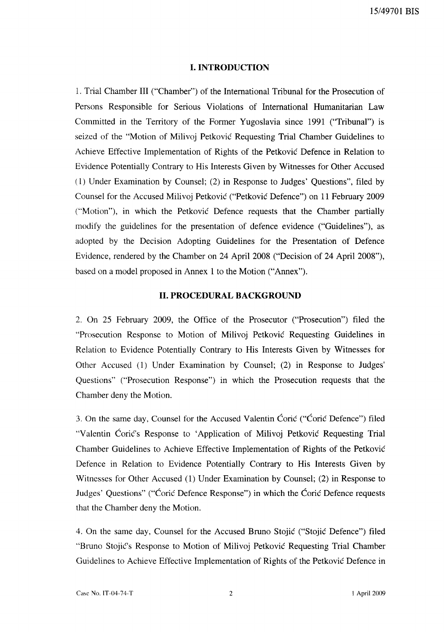#### **I. INTRODUCTION**

1. Trial Chamber **III** ("Chamber") of the International Tribunal for the Prosecution of Persons Responsible for Serious Violations of International Humanitarian Law Committed in the Territory of the Former Yugoslavia since 1991 ("Tribunal") is seized of the "Motion of Milivoj Petković Requesting Trial Chamber Guidelines to Achieve Effective Implementation of Rights of the Petkovie Defence in Relation to Evidence Potentially Contrary to His Interests Given by Witnesses for Other Accused (1) Under Examination by Counsel; (2) in Response to Judges' Questions", filed by Counsel for the Accused Milivoj Petkovie ("Petkovie Defence") on 11 February 2009 ("Motion"), in which the Petkovie Defence requests that the Chamber partially modify the guidelines for the presentation of defence evidence ("Guidelines"), as adopted by the Decision Adopting Guidelines for the Presentation of Defence Evidence, rendered by the Chamber on 24 April 2008 ("Decision of 24 April 2008"), based on a model proposed in Annex 1 to the Motion ("Annex"),

#### **II. PROCEDURAL BACKGROUND**

2. On 25 February 2009, the Office of the Prosecutor ("Prosecution") filed the "Prosecution Response to Motion of Milivoj Petkovie Requesting Guidelines in Relation to Evidence Potentially Contrary to His Interests Given by Witnesses for Other Accused (1) Under Examination by Counsel; (2) in Response to Judges' Questions" ("Prosecution Response") in which the Prosecution requests that the Chamber deny the Motion.

3. On the same day, Counsel for the Accused Valentin Corie ("Corie Defence") filed "Valentin Coric's Response to 'Application of Milivoj Petkovic Requesting Trial Chamber Guidelines to Achieve Effective Implementation of Rights of the Petkovie Defence in Relation to Evidence Potentially Contrary to His Interests Given by Witnesses for Other Accused (1) Under Examination by Counsel; (2) in Response to Judges' Questions" ("Corie Defence Response") in which the Corie Defence requests that the Chamber deny the Motion.

4. On the same day, Counsel for the Accused Bruno Stojie ("Stojie Defence") filed "Bruno Stojić's Response to Motion of Milivoj Petković Requesting Trial Chamber Guidelines to Achieve Effective Implementation of Rights of the Petković Defence in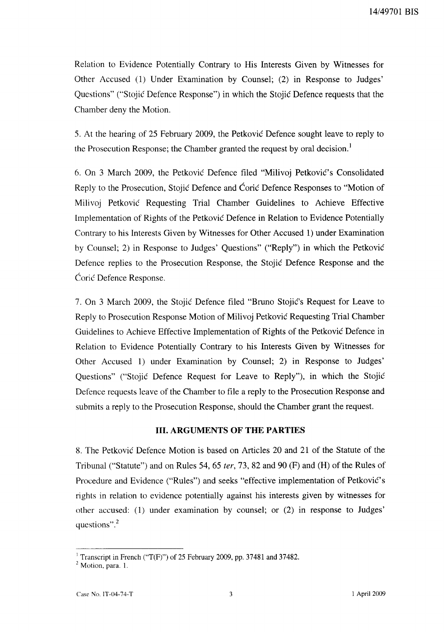Relation to Evidence Potentially Contrary to His Interests Given by Witnesses for Other Accused (1) Under Examination by Counsel; (2) in Response to Judges' Questions" ("Stojie Defence Response") in which the Stojie Defence requests that the Chamber deny the Motion.

5. At the hearing of 25 February 2009, the Petkovie Defence sought leave to reply to the Prosecution Response; the Chamber granted the request by oral decision.<sup>1</sup>

6. On 3 March 2009, the Petkovie Defence filed "Milivoj Petkovie's Consolidated Reply to the Prosecution, Stojie Defence and Corie Defence Responses to "Motion of Milivoj Petković Requesting Trial Chamber Guidelines to Achieve Effective Implementation of Rights of the Petković Defence in Relation to Evidence Potentially Contrary to his Interests Given by Witnesses for Other Accused 1) under Examination by Counsel; 2) in Response to Judges' Questions" ("Reply") in which the Petkovie Defence replies to the Prosecution Response, the Stojie Defence Response and the Corie Defence Response.

7. On 3 March 2009, the Stojie Defence filed "Bruno Stojie's Request for Leave to Reply to Prosecution Response Motion of Milivoj Petkovie Requesting Trial Chamber Guidelines to Achieve Effective Implementation of Rights of the Petković Defence in Relation to Evidence Potentially Contrary to his Interests Given by Witnesses for Other Accused 1) under Examination by Counsel; 2) in Response to Judges' Questions" ("Stojic Defence Request for Leave to Reply"), in which the Stojic Defence requests leave of the Chamber to file a reply to the Prosecution Response and submits a reply to the Prosecution Response, should the Chamber grant the request.

#### **III. ARGUMENTS OF THE PARTIES**

8. The Petkovic Defence Motion is based on Articles 20 and 21 of the Statute of the Tribunal ("Statute") and on Rules 54, 65 *ter,* 73, 82 and 90 (F) and (H) of the Rules of Procedure and Evidence ("Rules") and seeks "effective implementation of Petković's rights in relation to evidence potentially against his interests given by witnesses for other accused: (1) under examination by counsel; or (2) in response to Judges' questions".<sup>2</sup>

<sup>&</sup>lt;sup>1</sup> Transcript in French ("T(F)") of 25 February 2009, pp. 37481 and 37482.

 $<sup>2</sup>$  Motion, para. 1.</sup>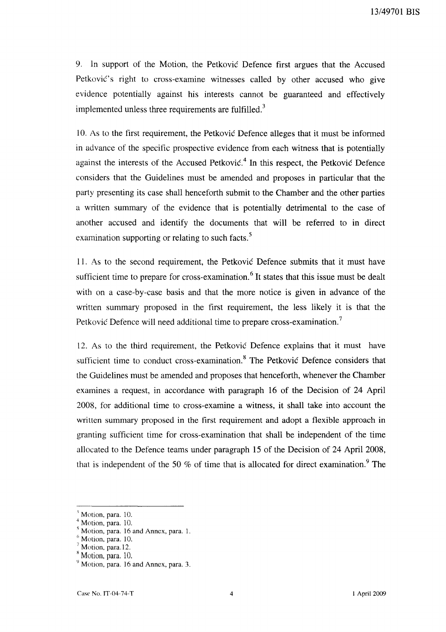9. In support of the Motion, the Petkovic Defence first argues that the Accused Petković's right to cross-examine witnesses called by other accused who give evidence potentially against his interests cannot be guaranteed and effectively implemented unless three requirements are fulfilled.<sup>3</sup>

10. As to the first requirement, the Petkovic Defence alleges that it must be informed in advance of the specific prospective evidence from each witness that is potentially against the interests of the Accused Petkovic. 4 In this respect, the Petkovic Defence considers that the Guidelines must be amended and proposes in particular that the party presenting its case shall henceforth submit to the Chamber and the other parties a written summary of the evidence that is potentially detrimental to the case of another accused and identify the documents that will be referred to in direct examination supporting or relating to such facts.<sup>5</sup>

11. As to the second requirement, the Petkovic Defence submits that it must have sufficient time to prepare for cross-examination.<sup>6</sup> It states that this issue must be dealt with on a case-by-case basis and that the more notice is given in advance of the written summary proposed in the first requirement, the less likely it is that the Petković Defence will need additional time to prepare cross-examination.<sup>7</sup>

12. As to the third requirement, the Petkovic Defence explains that it must have sufficient time to conduct cross-examination.<sup>8</sup> The Petković Defence considers that the Guidelines must be amended and proposes that henceforth, whenever the Chamber examines a request, in accordance with paragraph 16 of the Decision of 24 April 2008, for additional time to cross-examine a witness, it shall take into account the written summary proposed in the first requirement and adopt a flexible approach in granting sufficient time for cross-examination that shall be independent of the time allocated to the Defence teams under paragraph 15 of the Decision of 24 April 2008, that is independent of the 50  $%$  of time that is allocated for direct examination.<sup>9</sup> The

<sup>\</sup> Motion, para. 10.

Motion, para. 10.

<sup>,</sup> Motion, para. 16 and Annex, para. l.

 $6$  Motion, para. 10.

<sup>7</sup> Motion. para.12.

x Motion, para. 10.

 $<sup>9</sup>$  Motion, para. 16 and Annex, para. 3.</sup>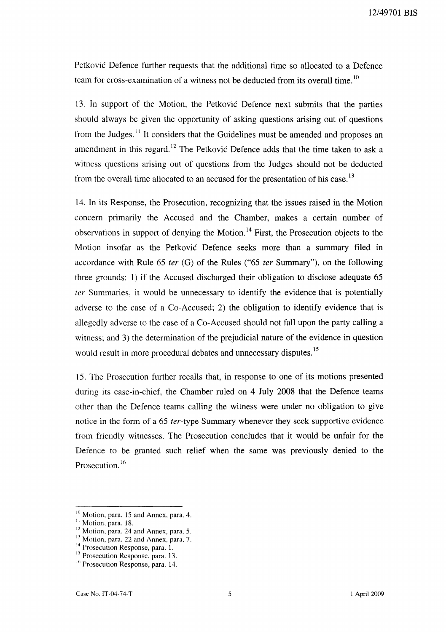Petkovic Defence further requests that the additional time so allocated to a Defence team for cross-examination of a witness not be deducted from its overall time.<sup>10</sup>

13. In support of the Motion, the Petkovic Defence next submits that the parties should always be given the opportunity of asking questions arising out of questions from the Judges.<sup> $11$ </sup> It considers that the Guidelines must be amended and proposes an amendment in this regard.<sup>12</sup> The Petkovic Defence adds that the time taken to ask a witness questions arising out of questions from the Judges should not be deducted from the overall time allocated to an accused for the presentation of his case.<sup>13</sup>

14. In its Response, the Prosecution, recognizing that the issues raised in the Motion concern primarily the Accused and the Chamber, makes a certain number of observations in support of denying the Motion. 14 First, the Prosecution objects to the Motion insofar as the Petković Defence seeks more than a summary filed in accordance with Rule 65 ter (G) of the Rules ("65 ter Summary"), on the following three grounds: 1) if the Accused discharged their obligation to disclose adequate 65 fer Summaries, it would be unnecessary to identify the evidence that is potentially adverse to the case of a Co-Accused; 2) the obligation to identify evidence that is allegedly adverse to the case of a Co-Accused should not fall upon the party calling a witness; and 3) the determination of the prejudicial nature of the evidence in question would result in more procedural debates and unnecessary disputes.<sup>15</sup>

15. The Prosecution further recalls that, in response to one of its motions presented during its case-in-chief, the Chamber ruled on 4 July 2008 that the Defence teams other than the Defence teams calling the witness were under no obligation to give notice in the form of a 65 ter-type Summary whenever they seek supportive evidence from friendly witnesses. The Prosecution concludes that it would be unfair for the Defence to be granted such relief when the same was previously denied to the Prosecution.<sup>16</sup>

 $10$  Motion, para. 15 and Annex, para. 4.

<sup>&</sup>lt;sup>11</sup> Motion, para. 18.

<sup>&</sup>lt;sup>12</sup> Motion, para. 24 and Annex, para. 5.

<sup>&</sup>lt;sup>13</sup> Motion, para. 22 and Annex, para. 7.

<sup>&</sup>lt;sup>14</sup> Prosecution Response, para. 1.

l'j Prosecution Response, para. 13.

<sup>&</sup>lt;sup>16</sup> Prosecution Response, para. 14.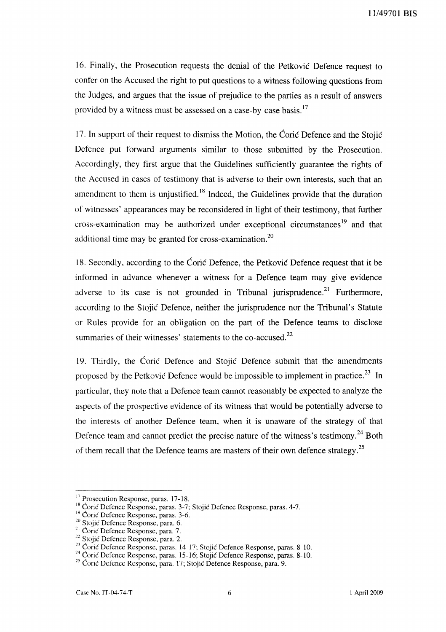16. Finally, the Prosecution requests the denial of the Petkovie Defence request to confer on the Accused the right to put questions to a witness following questions from the Judges, and argues that the issue of prejudice to the parties as a result of answers provided by a witness must be assessed on a case-by-case basis.<sup>17</sup>

17. In support of their request to dismiss the Motion, the Corie Defence and the Stojie Defence put forward arguments similar to those submitted by the Prosecution. Accordingly, they first argue that the Guidelines sufficiently guarantee the rights of the Accused in cases of testimony that is adverse to their own interests, such that an amendment to them is unjustified.<sup>18</sup> Indeed, the Guidelines provide that the duration of witnesses' appearances may be reconsidered in light of their testimony, that further cross-examination may be authorized under exceptional circumstances<sup>19</sup> and that additional time may be granted for cross-examination.<sup>20</sup>

18. Secondly, according to the Corie Defence, the Petkovie Defence request that it be informed in advance whenever a witness for a Defence team may give evidence adverse to its case is not grounded in Tribunal jurisprudence.<sup>21</sup> Furthermore, according to the Stojie Defence, neither the jurisprudence nor the Tribunal's Statute or Rules provide for an obligation on the part of the Defence teams to disclose summaries of their witnesses' statements to the co-accused. $22$ 

19. Thirdly, the Ćorić Defence and Stojić Defence submit that the amendments proposed by the Petković Defence would be impossible to implement in practice.<sup>23</sup> In particular, they note that a Defence team cannot reasonably be expected to analyze the aspects of the prospective evidence of its witness that would be potentially adverse to the interests of another Defence team, when it is unaware of the strategy of that Defence team and cannot predict the precise nature of the witness's testimony.<sup>24</sup> Both of them recall that the Defence teams are masters of their own defence strategy.<sup>25</sup>

<sup>&</sup>lt;sup>17</sup> Prosecution Response, paras. 17-18.

<sup>&</sup>lt;sup>18</sup> Coric Defence Response, paras. 3-7; Stojic Defence Response, paras. 4-7.

<sup>&</sup>lt;sup>19</sup> Coric Defence Response, paras. 3-6.

<sup>&</sup>lt;sup>20</sup> Stojić Defence Response, para. 6.

<sup>&</sup>lt;sup>21</sup> Coric Defence Response, para. 7.

<sup>&</sup>lt;sup>22</sup> Stojić Defence Response, para. 2.

 $^{23}$  Coric Defence Response, paras. 14-17; Stojic Defence Response, paras. 8-10.

<sup>&</sup>lt;sup>24</sup> Corić Defence Response, paras. 15-16; Stojić Defence Response, paras. 8-10.

 $^{25}$  Coric Defence Response, para. 17; Stojic Defence Response, para. 9.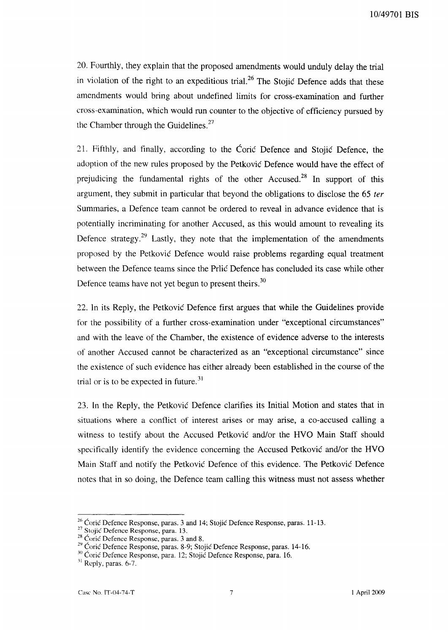20. Fourthly, they explain that the proposed amendments would unduly delay the trial in violation of the right to an expeditious trial.<sup>26</sup> The Stojić Defence adds that these amendments would bring about undefined limits for cross-examination and further cross-examination, which would run counter to the objective of efficiency pursued by the Chamber through the Guidelines. $27$ 

21. Fifthly, and finally, according to the Corie Defence and Stojie Defence, the adoption of the new rules proposed by the Petković Defence would have the effect of prejudicing the fundamental rights of the other Accused.<sup>28</sup> In support of this argument, they submit in particular that beyond the obligations to disclose the 65 *ter*  Summaries, a Defence team cannot be ordered to reveal in advance evidence that is potentially incriminating for another Accused, as this would amount to revealing its Defence strategy.<sup>29</sup> Lastly, they note that the implementation of the amendments proposed by the Petković Defence would raise problems regarding equal treatment between the Defence teams since the Prlic Defence has concluded its case while other Defence teams have not yet begun to present theirs.<sup>30</sup>

22. In its Reply, the Petkovic Defence first argues that while the Guidelines provide for the possibility of a further cross-examination under "exceptional circumstances" and with the leave of the Chamber, the existence of evidence adverse to the interests of another Accused cannot be characterized as an "exceptional circumstance" since the existence of such evidence has either already been established in the course of the trial or is to be expected in future.<sup>31</sup>

23. In the Reply, the Petković Defence clarifies its Initial Motion and states that in situations where a conflict of interest arises or may arise, a co-accused calling a witness to testify about the Accused Petković and/or the HVO Main Staff should specifically identify the evidence concerning the Accused Petković and/or the HVO Main Staff and notify the Petković Defence of this evidence. The Petković Defence notes that in so doing, the Defence team calling this witness must not assess whether

<sup>&</sup>lt;sup>26</sup> Ćorić Defence Response, paras. 3 and 14; Stojić Defence Response, paras. 11-13.

<sup>&</sup>lt;sup>27</sup> Stojić Defence Response, para. 13.

 $28$  Coric Defence Response, paras. 3 and 8.

<sup>&</sup>lt;sup>29</sup> Ćorić Defence Response, paras. 8-9; Stojić Defence Response, paras. 14-16.

<sup>&</sup>lt;sup>30</sup> Coric Defence Response, para. 12; Stojić Defence Response, para. 16.

 $31$  Reply, paras. 6-7.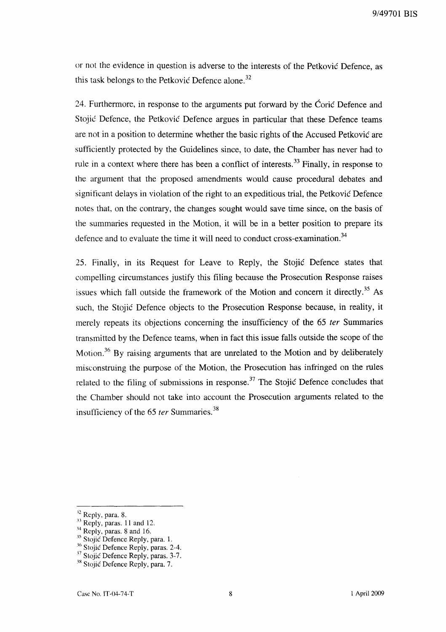or not the evidence in question is adverse to the interests of the Petković Defence, as this task belongs to the Petković Defence alone.<sup>32</sup>

24. Furthermore, in response to the arguments put forward by the Corie Defence and Stojic Defence, the Petkovic Defence argues in particular that these Defence teams are not in a position to determine whether the basic rights of the Accused Petković are sufficiently protected by the Guidelines since, to date, the Chamber has never had to rule in a context where there has been a conflict of interests.<sup>33</sup> Finally, in response to the argument that the proposed amendments would cause procedural debates and significant delays in violation of the right to an expeditious trial, the Petković Defence notes that, on the contrary, the changes sought would save time since, on the basis of the summaries requested in the Motion, it will be in a better position to prepare its defence and to evaluate the time it will need to conduct cross-examination.<sup>34</sup>

25. Finally, in its Request for Leave to Reply, the Stojie Defence states that compelling circumstances justify this filing because the Prosecution Response raises issues which fall outside the framework of the Motion and concern it directly.<sup>35</sup> As such, the Stojić Defence objects to the Prosecution Response because, in reality, it merely repeats its objections concerning the insufficiency of the 65 *ter* Summaries transmitted by the Defence teams, when in fact this issue falls outside the scope of the Motion.<sup>36</sup> By raising arguments that are unrelated to the Motion and by deliberately misconstruing the purpose of the Motion, the Prosecution has infringed on the rules related to the filing of submissions in response.<sup>37</sup> The Stojić Defence concludes that the Chamber should not take into account the Prosecution arguments related to the insufficiency of the 65 *ter* Summaries.3S

 $32$  Reply, para. 8.

 $33$  Reply, paras. 11 and 12.

 $34$  Reply, paras. 8 and 16.

<sup>&</sup>lt;sup>35</sup> Stojić Defence Reply, para. 1.

<sup>&</sup>lt;sup>36</sup> Stojić Defence Reply, paras. 2-4.

<sup>&</sup>lt;sup>37</sup> Stojić Defence Reply, paras. 3-7.

<sup>&</sup>lt;sup>38</sup> Stojić Defence Reply, para. 7.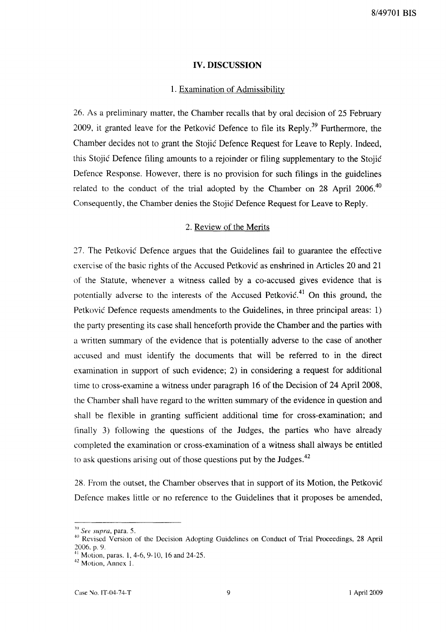#### **IV. DISCUSSION**

#### 1. Examination of Admissibility

26. As a preliminary matter, the Chamber recalls that by oral decision of 25 February 2009, it granted leave for the Petkovic Defence to file its Reply.39 Furthermore, the Chamber decides not to grant the Stojic Defence Request for Leave to Reply. Indeed, this Stojic Defence filing amounts to a rejoinder or filing supplementary to the Stojic Defence Response. However, there is no provision for such filings in the guidelines related to the conduct of the trial adopted by the Chamber on 28 April 2006.<sup>40</sup> Consequently, the Chamber denies the Stojic Defence Request for Leave to Reply.

### 2. Review of the Merits

27. The Petkovic Defence argues that the Guidelines fail to guarantee the effective exercise of the basic rights of the Accused Petković as enshrined in Articles 20 and 21 of the Statute, whenever a witness called by a co-accused gives evidence that is potentially adverse to the interests of the Accused Petkovic. 41 On this ground, the Petkovic Defence requests amendments to the Guidelines, in three principal areas: 1) the party presenting its case shall henceforth provide the Chamber and the parties with a written summary of the evidence that is potentially adverse to the case of another accused and must identify the documents that will be referred to in the direct examination in support of such evidence; 2) in considering a request for additional time to cross-examine a witness under paragraph 16 of the Decision of 24 April 2008, the Chamber shall have regard to the written summary of the evidence in question and shall be flexible in granting sufficient additional time for cross-examination; and finally 3) following the questions of the Judges, the parties who have already completed the examination or cross-examination of a witness shall always be entitled to ask questions arising out of those questions put by the Judges.<sup>42</sup>

28. From the outset, the Chamber observes that in support of its Motion, the Petkovic Defence makes little or no reference to the Guidelines that it proposes be amended,

<sup>10</sup>*See supra,* para. 5.

<sup>&</sup>lt;sup>40</sup> Revised Version of the Decision Adopting Guidelines on Conduct of Trial Proceedings, 28 April 2006. p. 9.

<sup>&</sup>lt;sup>41</sup> Motion, paras. 1, 4-6, 9-10, 16 and 24-25.

<sup>&</sup>lt;sup>42</sup> Motion, Annex 1.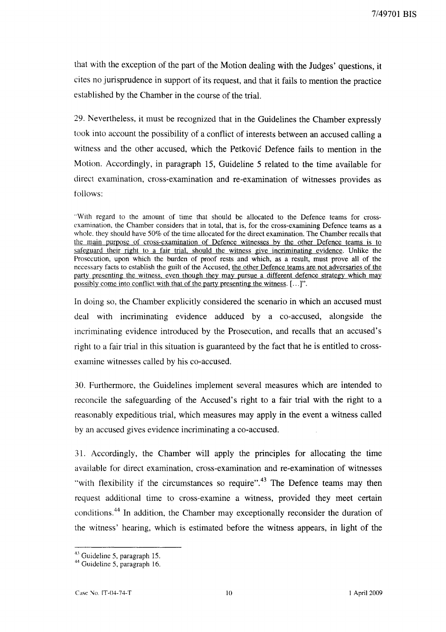that with the exception of the part of the Motion dealing with the Judges' questions, it cites no jurisprudence in support of its request, and that it fails to mention the practice established by the Chamber in the course of the trial.

29. Nevertheless, it must be recognized that in the Guidelines the Chamber expressly took into account the possibility of a conflict of interests between an accused calling a witness and the other accused, which the Petkovic Defence fails to mention in the Motion. Accordingly, in paragraph 15, Guideline 5 related to the time available for direct examination, cross-examination and re-examination of witnesses provides as follows:

In doing so, the Chamber explicitly considered the scenario in which an accused must deal with incriminating evidence adduced by a co-accused, alongside the incriminating evidence introduced by the Prosecution, and recalls that an accused's right to a fair trial in this situation is guaranteed by the fact that he is entitled to crossexamine witnesses called by his co-accused.

30. Furthermore, the Guidelines implement several measures which are intended to reconcile the safeguarding of the Accused's right to a fair trial with the right to a reasonably expeditious trial, which measures may apply in the event a witness called by an accused gives evidence incriminating a co-accused.

3l. Accordingly, the Chamber will apply the principles for allocating the time available for direct examination, cross-examination and re-examination of witnesses "with flexibility if the circumstances so require".<sup>43</sup> The Defence teams may then request additional time to cross-examine a witness, provided they meet certain conditions.44 In addition, the Chamber may exceptionally reconsider the duration of the witness' hearing, which is estimated before the witness appears, in light of the

<sup>&</sup>quot;With regard to the amount of time that should be allocated to the Defence teams for crossexamination, the Chamber considers that in total, that is, for the cross-examining Defence teams as a whole. they should have 50% of the time allocated for the direct examination. The Chamber recalls that the main purpose of cross-examination of Defence witnesses by the other Defence teams is to safeguard their right to a fair trial, should the witness give incriminating evidence. Unlike the Prosecution, upon which the burden of proof rests and which, as a result, must prove all of the necessary facts to establish the guilt of the Accused, the other Defence teams are not adversaries of the party presenting the witness, even though they may pursue a different defence strategy which may possibly come into conflict with that of the party presenting the witness. [ ... ]".

<sup>&</sup>lt;sup>43</sup> Guideline 5, paragraph 15.

<sup>44</sup> Guideline 5, paragraph 16.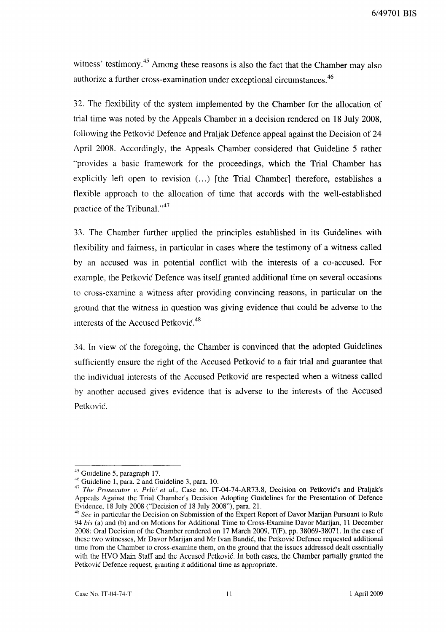witness' testimony.<sup>45</sup> Among these reasons is also the fact that the Chamber may also authorize a further cross-examination under exceptional circumstances.<sup>46</sup>

32. The flexibility of the system implemented by the Chamber for the allocation of trial time was noted by the Appeals Chamber in a decision rendered on 18 July 2008, following the Petkovic Defence and Praljak Defence appeal against the Decision of 24 April 2008. Accordingly, the Appeals Chamber considered that Guideline 5 rather "provides a basic framework for the proceedings, which the Trial Chamber has explicitly left open to revision  $(...)$  [the Trial Chamber] therefore, establishes a flexible approach to the allocation of time that accords with the well-established practice of the Tribunal. $1.47$ 

33. The Chamber further applied the principles established in its Guidelines with t1exibility and fairness, in particular in cases where the testimony of a witness called by an accused was in potential conflict with the interests of a co-accused. For example, the Petkovic Defence was itself granted additional time on several occasions to cross-examine a witness after providing convincing reasons, in particular on the ground that the witness in question was giving evidence that could be adverse to the interests of the Accused Petković.<sup>48</sup>

34. In view of the foregoing, the Chamber is convinced that the adopted Guidelines sufficiently ensure the right of the Accused Petkovic to a fair trial and guarantee that the individual interests of the Accused Petkovic are respected when a witness called by another accused gives evidence that is adverse to the interests of the Accused Petković.

<sup>45</sup> GUideline 5, paragraph 17.

<sup>46</sup> Guideline 1, para. 2 and Guideline 3, para. 10.

<sup>&</sup>lt;sup>47</sup> The Prosecutor v. Prlic et al., Case no. IT-04-74-AR73.8, Decision on Petkovic's and Praljak's Appeals Against the Trial Chamber's Decision Adopting Guidelines for the Presentation of Defence Evidence, 18 July 2008 ("Decision of 18 July 2008"), para. 2l.

<sup>&</sup>lt;sup>48</sup> See in particular the Decision on Submission of the Expert Report of Davor Marijan Pursuant to Rule *94 his* (a) and (b) and on Motions for Additional Time to Cross-Examine Davor Marijan, 11 December 2008: Oral Decision of the Chamber rendered on 17 March 2009, T(F), pp. 38069-38071. In the case of these two witnesses, Mr Davor Marijan and Mr Ivan Bandic, the Petkovic Defence requested additional time from the Chamber to cross-examine them, on the ground that the issues addressed dealt essentially with the HVO Main Staff and the Accused Petkovic. In both cases, the Chamber partially granted the Petković Defence request, granting it additional time as appropriate.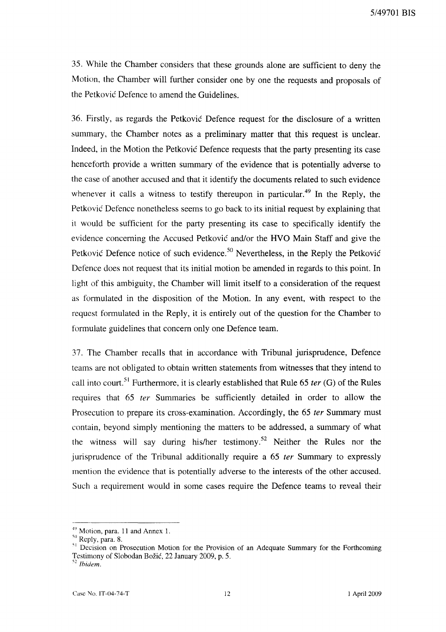35. While the Chamber considers that these grounds alone are sufficient to deny the Motion, the Chamber will further consider one by one the requests and proposals of the Petkovic Defence to amend the Guidelines.

36. Firstly, as regards the Petkovic Defence request for the disclosure of a written summary, the Chamber notes as a preliminary matter that this request is unclear. Indeed, in the Motion the Petkovic Defence requests that the party presenting its case henceforth provide a written summary of the evidence that is potentially adverse to the case of another accused and that it identify the documents related to such evidence whenever it calls a witness to testify thereupon in particular.<sup>49</sup> In the Reply, the Petkovic Defence nonetheless seems to go back to its initial request by explaining that it would be sufficient for the party presenting its case to specifically identify the evidence concerning the Accused Petkovic and/or the HVO Main Staff and give the Petković Defence notice of such evidence.<sup>50</sup> Nevertheless, in the Reply the Petković Defence does not request that its initial motion be amended in regards to this point. In light of this ambiguity, the Chamber will limit itself to a consideration of the request as formulated in the disposition of the Motion. In any event, with respect to the request formulated in the Reply, it is entirely out of the question for the Chamber to formulate guidelines that concern only one Defence team.

37. The Chamber recalls that in accordance with Tribunal jurisprudence, Defence teams are not obligated to obtain written statements from witnesses that they intend to call into court. 51 Furthermore, it is clearly established that Rule 65 *ter* (G) of the Rules requires that 65 *ter* Summaries be sufficiently detailed in order to allow the Prosecution to prepare its cross-examination. Accordingly, the 65 *ter* Summary must contain, beyond simply mentioning the matters to be addressed, a summary of what the witness will say during his/her testimony.<sup>52</sup> Neither the Rules nor the jurisprudence of the Tribunal additionally require a 65 *ter* Summary to expressly mention the evidence that is potentially adverse to the interests of the other accused. Such a requirement would in some cases require the Defence teams to reveal their

*<sup>4</sup>Y* Motion, para. 11 and Annex 1.

 $50$  Reply, para. 8.

<sup>&</sup>lt;sup>51</sup> Decision on Prosecution Motion for the Provision of an Adequate Summary for the Forthcoming Testimony of Slobodan Božić, 22 January 2009, p. 5.

*<sup>&#</sup>x27;2Ihidem.*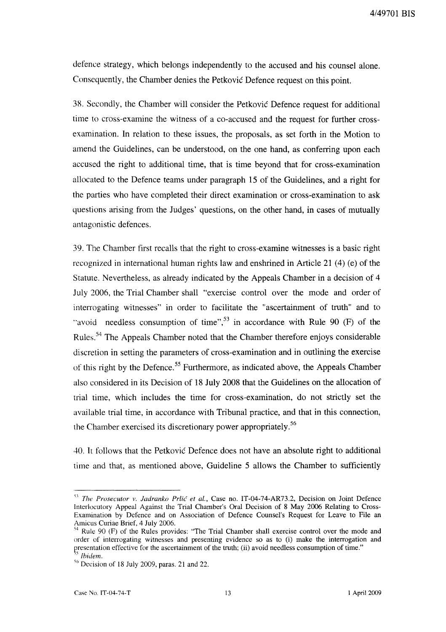defence strategy, which belongs independently to the accused and his counsel alone. Consequently, the Chamber denies the Petkovic Defence request on this point.

38. Secondly, the Chamber will consider the Petkovic Defence request for additional time to cross-examine the witness of a co-accused and the request for further crossexamination. In relation to these issues, the proposals, as set forth in the Motion to amend the Guidelines, can be understood, on the one hand, as conferring upon each accused the right to additional time, that is time beyond that for cross-examination allocated to the Defence teams under paragraph 15 of the Guidelines, and a right for the parties who have completed their direct examination or cross-examination to ask questions arising from the Judges' questions, on the other hand, in cases of mutually antagonistic defences.

39. The Chamber first recalls that the right to cross-examine witnesses is a basic right recognized in international human rights law and enshrined in Article 21 (4) (e) of the Statute. Nevertheless, as already indicated by the Appeals Chamber in a decision of 4 July 2006, the Trial Chamber shall "exercise control over the mode and order of interrogating witnesses" in order to facilitate the "ascertainment of truth" and to "avoid needless consumption of time",<sup>53</sup> in accordance with Rule 90 (F) of the Rules.<sup>54</sup> The Appeals Chamber noted that the Chamber therefore enjoys considerable discretion in setting the parameters of cross-examination and in outlining the exercise of this right by the Defence.<sup>55</sup> Furthermore, as indicated above, the Appeals Chamber also considered in its Decision of 18 July 2008 that the Guidelines on the allocation of trial time, which includes the time for cross-examination, do not strictly set the available trial time, in accordance with Tribunal practice, and that in this connection, the Chamber exercised its discretionary power appropriately.<sup>56</sup>

40. It follows that the Petkovic Defence does not have an absolute right to additional time and that, as mentioned above, Guideline 5 allows the Chamber to sufficiently

<sup>&</sup>lt;sup>53</sup> The Prosecutor v. Jadranko Prlić et al., Case no. IT-04-74-AR73.2, Decision on Joint Defence Interlocutory Appeal Against the Trial Chamber's Oral Decision of 8 May 2006 Relating to Cross-Examination by Defence and on Association of Defence Counsel's Request for Leave to File an Amicus Curiae Brief, 4 July 2006.

<sup>&</sup>lt;sup>54</sup> Rule 90 (F) of the Rules provides: "The Trial Chamber shall exercise control over the mode and order of interrogating witnesses and presenting evidence so as to (i) make the interrogation and presentation effective for the ascertainment of the truth; (ii) avoid needless consumption of time." ) *Ihidem.* 

 $56$  Decision of 18 July 2009, paras. 21 and 22.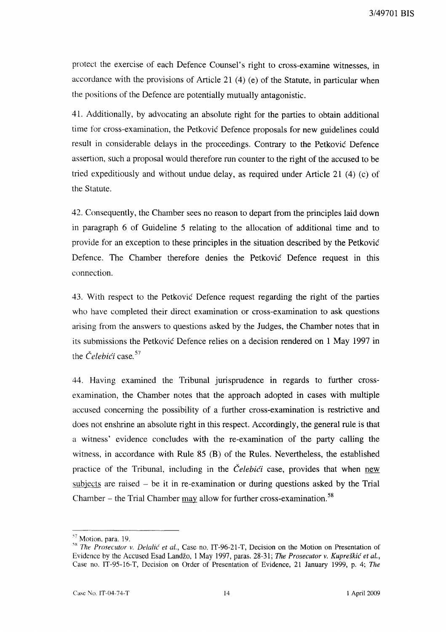protect the exercise of each Defence Counsel's right to cross-examine witnesses, in accordance with the provisions of Article 21 (4) (e) of the Statute, in particular when the positions of the Defence are potentially mutually antagonistic.

41. Additionally, by advocating an absolute right for the parties to obtain additional time for cross-examination, the Petkovic Defence proposals for new guidelines could result in considerable delays in the proceedings. Contrary to the Petkovic Defence assertion, such a proposal would therefore run counter to the right of the accused to be tried expeditiously and without undue delay, as required under Article 21 (4) (c) of the Statute.

42. Consequently, the Chamber sees no reason to depart from the principles laid down in paragraph 6 of Guideline 5 relating to the allocation of additional time and to provide for an exception to these principles in the situation described by the Petkovic Defence. The Chamber therefore denies the Petkovic Defence request in this connection.

43. With respect to the Petkovic Defence request regarding the right of the parties who have completed their direct examination or cross-examination to ask questions arising from the answers to questions asked by the Judges, the Chamber notes that in its submissions the Petkovic Defence relies on a decision rendered on 1 May 1997 in the *Čelebići* case.<sup>57</sup>

44. Having examined the Tribunal jurisprudence in regards to further crossexamination, the Chamber notes that the approach adopted in cases with multiple accused concerning the possibility of a further cross-examination is restrictive and does not enshrine an absolute right in this respect. Accordingly, the general rule is that a witness' evidence concludes with the re-examination of the party calling the witness, in accordance with Rule 85 (B) of the Rules. Nevertheless, the established practice of the Tribunal, including in the *Celebici* case, provides that when new subjects are raised - be it in re-examination or during questions asked by the Trial Chamber – the Trial Chamber  $\frac{may}{may}$  allow for further cross-examination.<sup>58</sup>

 $<sup>57</sup>$  Motion, para. 19.</sup>

<sup>&</sup>lt;sup>58</sup> The Prosecutor v. Delalić et al., Case no. IT-96-21-T, Decision on the Motion on Presentation of Evidence by the Accused Esad Landžo, 1 May 1997, paras. 28-31; *The Prosecutor v. Kupreškić et al.*, Case no. IT-95-16-T, Decision on Order of Presentation of Evidence, 21 January 1999, p. 4; *The*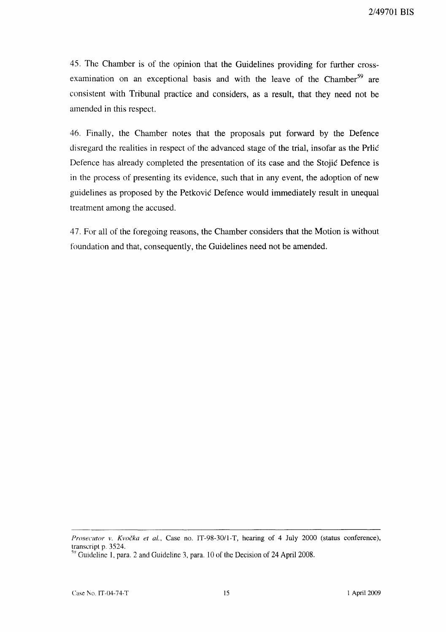45. The Chamber is of the opinion that the Guidelines providing for further crossexamination on an exceptional basis and with the leave of the Chamber<sup>59</sup> are consistent with Tribunal practice and considers, as a result, that they need not be amended in this respect.

46. Finally, the Chamber notes that the proposals put forward by the Defence disregard the realities in respect of the advanced stage of the trial, insofar as the Prlic Defence has already completed the presentation of its case and the Stojic Defence is in the process of presenting its evidence, such that in any event, the adoption of new guidelines as proposed by the Petkovic Defence would immediately result in unequal treatment among the accused.

47. For all of the foregoing reasons, the Chamber considers that the Motion is without foundation and that, consequently, the Guidelines need not be amended.

*Prosecutor v. Kvocka et ai.,* Case no. IT-98-301l-T, hearing of 4 July 2000 (status conference), transcript p. 3524.

<sup>)~</sup> Guideline 1, para. 2 and Guideline 3, para. 10 of the Decision of 24 April 2008.